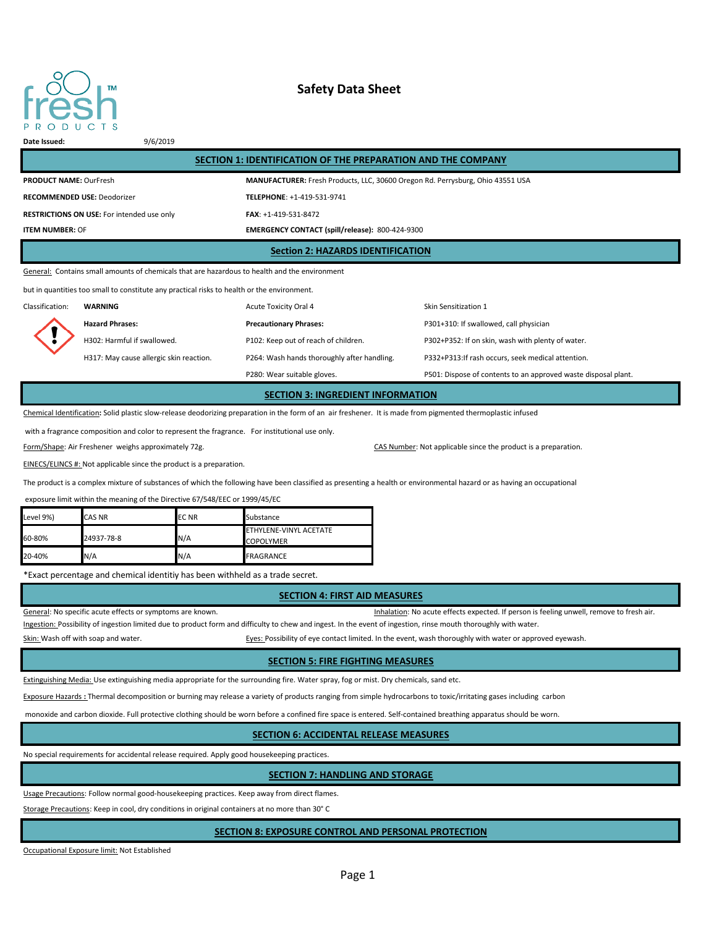

# **Safety Data Sheet**

#### **Date Issued:** 9/6/2019

| SECTION 1: IDENTIFICATION OF THE PREPARATION AND THE COMPANY                                  |                                                                                |  |  |  |
|-----------------------------------------------------------------------------------------------|--------------------------------------------------------------------------------|--|--|--|
| <b>PRODUCT NAME: OurFresh</b>                                                                 | MANUFACTURER: Fresh Products, LLC, 30600 Oregon Rd. Perrysburg, Ohio 43551 USA |  |  |  |
| <b>RECOMMENDED USE: Deodorizer</b>                                                            | TELEPHONE: +1-419-531-9741                                                     |  |  |  |
| <b>RESTRICTIONS ON USE:</b> For intended use only                                             | FAX: +1-419-531-8472                                                           |  |  |  |
| <b>ITEM NUMBER: OF</b>                                                                        | EMERGENCY CONTACT (spill/release): 800-424-9300                                |  |  |  |
| <b>Section 2: HAZARDS IDENTIFICATION</b>                                                      |                                                                                |  |  |  |
| General: Contains small amounts of chemicals that are hazardous to health and the environment |                                                                                |  |  |  |

but in quantities too small to constitute any practical risks to health or the environment.

Classification: **WARNING Acute Toxicity Oral 4** Skin Sensitization 1 **Hazard Phrases: Precautionary Phrases:** P301+310: If swallowed, call physician H302: Harmful if swallowed. P102: Keep out of reach of children. P302+P352: If on skin, wash with plenty of water. H317: May cause allergic skin reaction. P264: Wash hands thoroughly after handling. P332+P313:If rash occurs, seek medical attention. P280: Wear suitable gloves. The suitable gloves are provided was provided waste disposal plant.

# **SECTION 3: INGREDIENT INFORMATION**

Chemical Identification**:** Solid plastic slow-release deodorizing preparation in the form of an air freshener. It is made from pigmented thermoplastic infused

with a fragrance composition and color to represent the fragrance. For institutional use only.

Form/Shape: Air Freshener weighs approximately 72g. CAS Number: Not applicable since the product is a preparation.

EINECS/ELINCS #: Not applicable since the product is a preparation.

The product is a complex mixture of substances of which the following have been classified as presenting a health or environmental hazard or as having an occupational

exposure limit within the meaning of the Directive 67/548/EEC or 1999/45/EC

| Level 9%) | <b>CAS NR</b> | <b>ECNR</b> | Substance                                  |
|-----------|---------------|-------------|--------------------------------------------|
| 60-80%    | 24937-78-8    | N/A         | ETHYLENE-VINYL ACETATE<br><b>COPOLYMER</b> |
| 20-40%    | N/A           | N/A         | <b>FRAGRANCE</b>                           |

\*Exact percentage and chemical identitiy has been withheld as a trade secret.

### **SECTION 4: FIRST AID MEASURES**

General: No specific acute effects or symptoms are known. That is a series of the state of the state of resh air.

Ingestion: Possibility of ingestion limited due to product form and difficulty to chew and ingest. In the event of ingestion, rinse mouth thoroughly with water.

Skin: Wash off with soap and water. The state of the state of eyes: Possibility of eye contact limited. In the event, wash thoroughly with water or approved eyewash.

### **SECTION 5: FIRE FIGHTING MEASURES**

Extinguishing Media: Use extinguishing media appropriate for the surrounding fire. Water spray, fog or mist. Dry chemicals, sand etc.

Exposure Hazards **:** Thermal decomposition or burning may release a variety of products ranging from simple hydrocarbons to toxic/irritating gases including carbon

monoxide and carbon dioxide. Full protective clothing should be worn before a confined fire space is entered. Self-contained breathing apparatus should be worn.

# **SECTION 6: ACCIDENTAL RELEASE MEASURES**

No special requirements for accidental release required. Apply good housekeeping practices.

# **SECTION 7: HANDLING AND STORAGE**

Usage Precautions: Follow normal good-housekeeping practices. Keep away from direct flames.

Storage Precautions: Keep in cool, dry conditions in original containers at no more than 30° C

### **SECTION 8: EXPOSURE CONTROL AND PERSONAL PROTECTION**

Occupational Exposure limit: Not Established